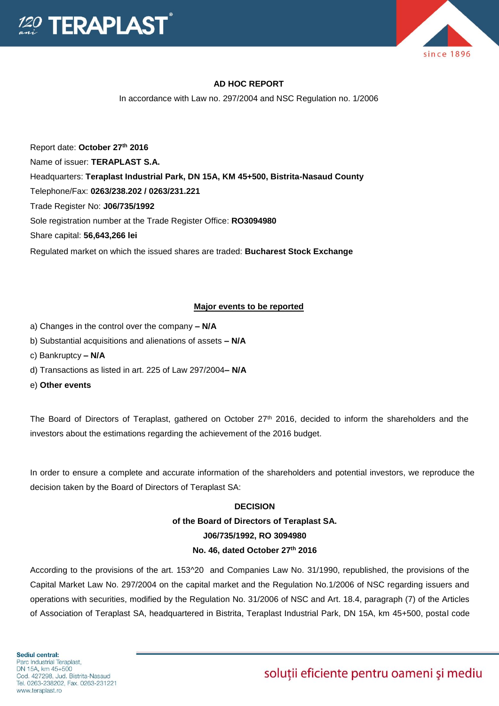



### **AD HOC REPORT**

In accordance with Law no. 297/2004 and NSC Regulation no. 1/2006

Report date: **October 27th 2016** Name of issuer: **TERAPLAST S.A.**  Headquarters: **Teraplast Industrial Park, DN 15A, KM 45+500, Bistrita-Nasaud County** Telephone/Fax: **0263/238.202 / 0263/231.221** Trade Register No: **J06/735/1992** Sole registration number at the Trade Register Office: **RO3094980** Share capital: **56,643,266 lei** 

Regulated market on which the issued shares are traded: **Bucharest Stock Exchange**

#### **Major events to be reported**

- a) Changes in the control over the company **– N/A**
- b) Substantial acquisitions and alienations of assets **– N/A**
- c) Bankruptcy **– N/A**
- d) Transactions as listed in art. 225 of Law 297/2004**– N/A**
- e) **Other events**

The Board of Directors of Teraplast, gathered on October 27<sup>th</sup> 2016, decided to inform the shareholders and the investors about the estimations regarding the achievement of the 2016 budget.

In order to ensure a complete and accurate information of the shareholders and potential investors, we reproduce the decision taken by the Board of Directors of Teraplast SA:

### **DECISION**

## **of the Board of Directors of Teraplast SA. J06/735/1992, RO 3094980 No. 46, dated October 27th 2016**

According to the provisions of the art. 153^20 and Companies Law No. 31/1990, republished, the provisions of the Capital Market Law No. 297/2004 on the capital market and the Regulation No.1/2006 of NSC regarding issuers and operations with securities, modified by the Regulation No. 31/2006 of NSC and Art. 18.4, paragraph (7) of the Articles of Association of Teraplast SA, headquartered in Bistrita, Teraplast Industrial Park, DN 15A, km 45+500, postal code

# soluții eficiente pentru oameni și mediu